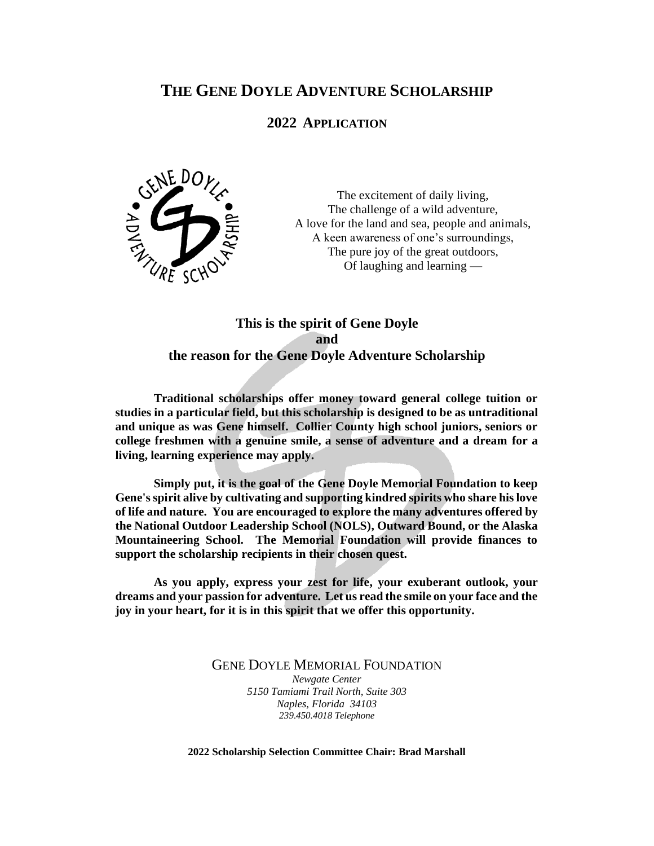# **THE GENE DOYLE ADVENTURE SCHOLARSHIP**

# **2022 APPLICATION**



The excitement of daily living, The challenge of a wild adventure, A love for the land and sea, people and animals, A keen awareness of one's surroundings, The pure joy of the great outdoors, Of laughing and learning —

# **This is the spirit of Gene Doyle and the reason for the Gene Doyle Adventure Scholarship**

**Traditional scholarships offer money toward general college tuition or studies in a particular field, but this scholarship is designed to be as untraditional and unique as was Gene himself. Collier County high school juniors, seniors or college freshmen with a genuine smile, a sense of adventure and a dream for a living, learning experience may apply.**

**Simply put, it is the goal of the Gene Doyle Memorial Foundation to keep Gene's spirit alive by cultivating and supporting kindred spirits who share his love of life and nature. You are encouraged to explore the many adventures offered by the National Outdoor Leadership School (NOLS), Outward Bound, or the Alaska Mountaineering School. The Memorial Foundation will provide finances to support the scholarship recipients in their chosen quest.**

**As you apply, express your zest for life, your exuberant outlook, your dreams and your passion for adventure. Let us read the smile on your face and the joy in your heart, for it is in this spirit that we offer this opportunity.**

GENE DOYLE MEMORIAL FOUNDATION

*Newgate Center 5150 Tamiami Trail North, Suite 303 Naples, Florida 34103 239.450.4018 Telephone*

**2022 Scholarship Selection Committee Chair: Brad Marshall**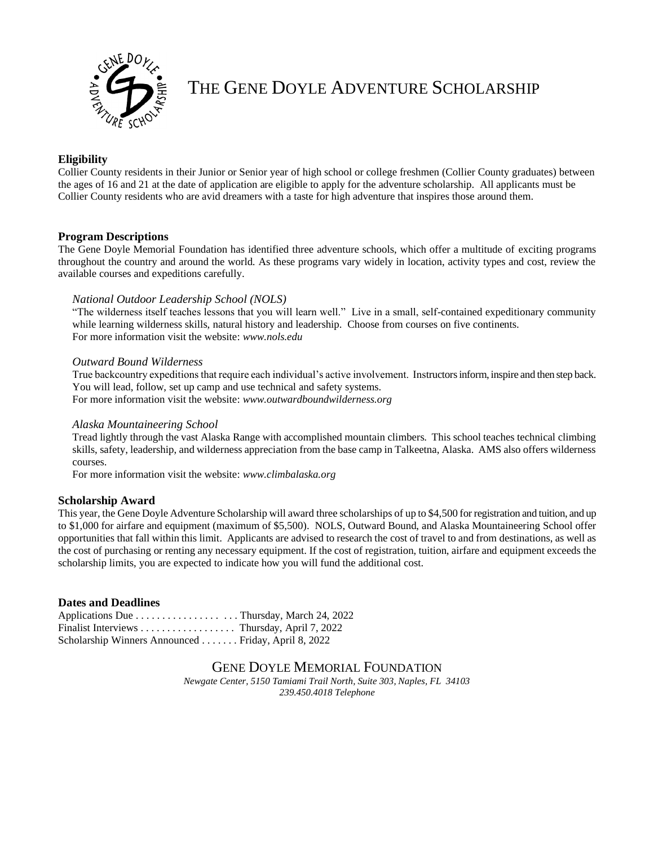

THE GENE DOYLE ADVENTURE SCHOLARSHIP

# **Eligibility**

Collier County residents in their Junior or Senior year of high school or college freshmen (Collier County graduates) between the ages of 16 and 21 at the date of application are eligible to apply for the adventure scholarship. All applicants must be Collier County residents who are avid dreamers with a taste for high adventure that inspires those around them.

### **Program Descriptions**

The Gene Doyle Memorial Foundation has identified three adventure schools, which offer a multitude of exciting programs throughout the country and around the world. As these programs vary widely in location, activity types and cost, review the available courses and expeditions carefully.

### *National Outdoor Leadership School (NOLS)*

"The wilderness itself teaches lessons that you will learn well." Live in a small, self-contained expeditionary community while learning wilderness skills, natural history and leadership. Choose from courses on five continents. For more information visit the website: *[www.nols.edu](http://www.nols.edu/)*

#### *Outward Bound Wilderness*

True backcountry expeditions that require each individual's active involvement. Instructors inform, inspire and then step back. You will lead, follow, set up camp and use technical and safety systems. For more information visit the website: *www.outwardboundwilderness.org*

#### *Alaska Mountaineering School*

Tread lightly through the vast Alaska Range with accomplished mountain climbers. This school teaches technical climbing skills, safety, leadership, and wilderness appreciation from the base camp in Talkeetna, Alaska. AMS also offers wilderness courses.

For more information visit the website: *www.climbalaska.org*

## **Scholarship Award**

This year, the Gene Doyle Adventure Scholarship will award three scholarships of up to \$4,500 for registration and tuition, and up to \$1,000 for airfare and equipment (maximum of \$5,500). NOLS, Outward Bound, and Alaska Mountaineering School offer opportunities that fall within this limit. Applicants are advised to research the cost of travel to and from destinations, as well as the cost of purchasing or renting any necessary equipment. If the cost of registration, tuition, airfare and equipment exceeds the scholarship limits, you are expected to indicate how you will fund the additional cost.

## **Dates and Deadlines**

| Applications Due Thursday, March 24, 2022            |  |
|------------------------------------------------------|--|
| Finalist Interviews Thursday, April 7, 2022          |  |
| Scholarship Winners Announced  Friday, April 8, 2022 |  |

# GENE DOYLE MEMORIAL FOUNDATION

*Newgate Center, 5150 Tamiami Trail North, Suite 303, Naples, FL 34103 239.450.4018 Telephone*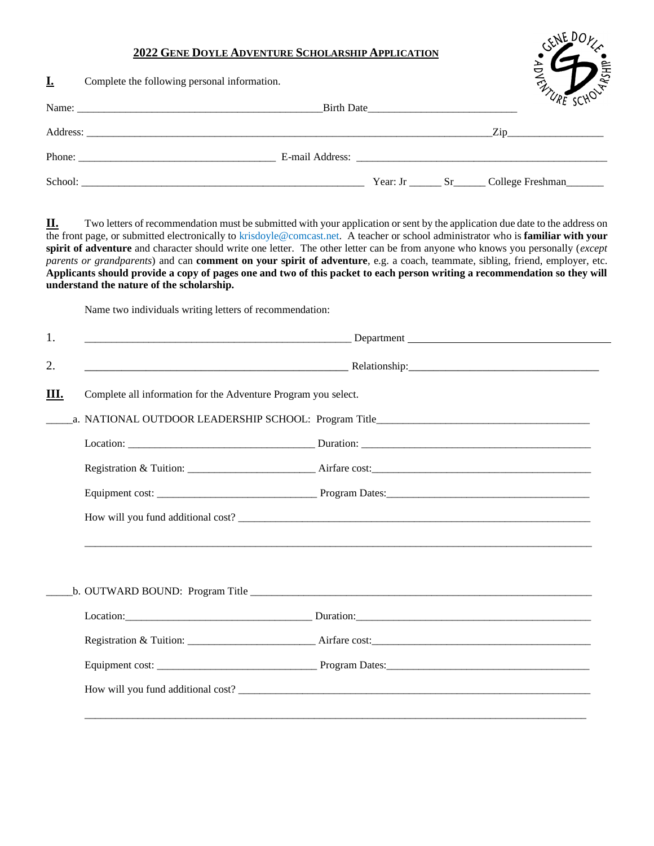## **2022 GENE DOYLE ADVENTURE SCHOLARSHIP APPLICATION**

| <u>L.</u> | Complete the following personal information. |            | <b>ATURE SCHOLF</b>                           |  |
|-----------|----------------------------------------------|------------|-----------------------------------------------|--|
|           |                                              | Birth Date |                                               |  |
|           |                                              |            | $\mathbf{Zip}$                                |  |
|           | Phone:                                       |            | E-mail Address:                               |  |
| School:   |                                              |            | Year: Jr ________ Sr _______ College Freshman |  |

GENE DOKE

**II.** Two letters of recommendation must be submitted with your application or sent by the application due date to the address on the front page, or submitted electronically to krisdoyle@comcast.net. A teacher or school administrator who is **familiar with your spirit of adventure** and character should write one letter. The other letter can be from anyone who knows you personally (*except parents or grandparents*) and can **comment on your spirit of adventure**, e.g. a coach, teammate, sibling, friend, employer, etc. **Applicants should provide a copy of pages one and two of this packet to each person writing a recommendation so they will understand the nature of the scholarship.**

Name two individuals writing letters of recommendation:

|                                                                | Department                                                                                                                                                                                                                     |  |  |  |
|----------------------------------------------------------------|--------------------------------------------------------------------------------------------------------------------------------------------------------------------------------------------------------------------------------|--|--|--|
|                                                                |                                                                                                                                                                                                                                |  |  |  |
| Complete all information for the Adventure Program you select. |                                                                                                                                                                                                                                |  |  |  |
|                                                                |                                                                                                                                                                                                                                |  |  |  |
|                                                                |                                                                                                                                                                                                                                |  |  |  |
|                                                                |                                                                                                                                                                                                                                |  |  |  |
|                                                                |                                                                                                                                                                                                                                |  |  |  |
|                                                                |                                                                                                                                                                                                                                |  |  |  |
|                                                                |                                                                                                                                                                                                                                |  |  |  |
|                                                                |                                                                                                                                                                                                                                |  |  |  |
|                                                                |                                                                                                                                                                                                                                |  |  |  |
|                                                                | Location: Duration: Duration: Duration: Duration: Duration: Duration: Duration: Duration: Duration: Duration: Duration: Duration: Duration: Duration: Duration: Duration: Duration: Duration: Duration: Duration: Duration: Du |  |  |  |
|                                                                |                                                                                                                                                                                                                                |  |  |  |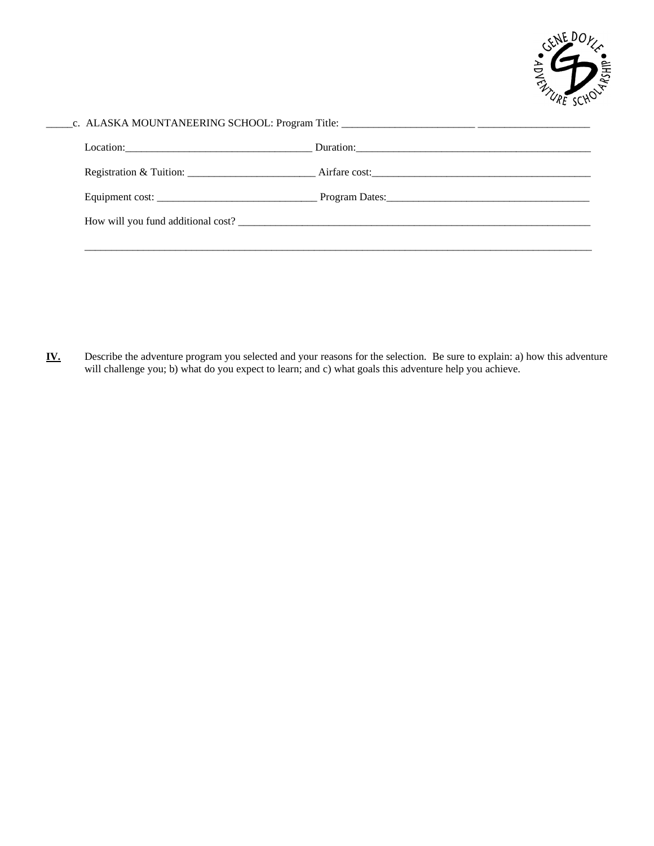

| How will you fund additional cost? |  |
|------------------------------------|--|

- 
- **IV.** Describe the adventure program you selected and your reasons for the selection. Be sure to explain: a) how this adventure will challenge you; b) what do you expect to learn; and c) what goals this adventure help you achieve.